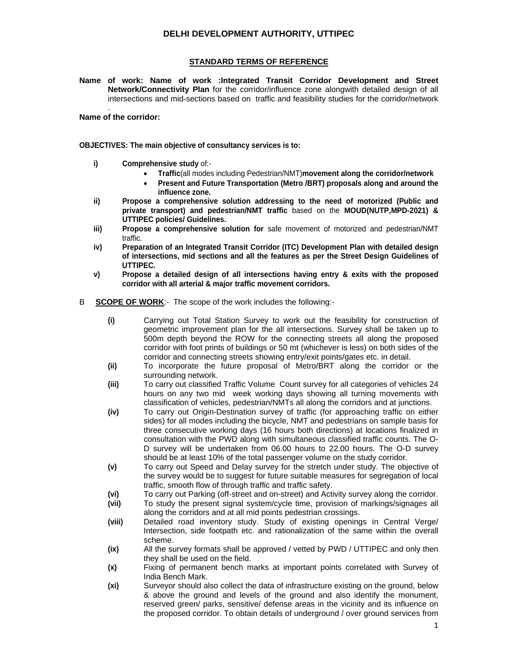### **DELHI DEVELOPMENT AUTHORITY, UTTIPEC**

#### **STANDARD TERMS OF REFERENCE**

**Name of work: Name of work :Integrated Transit Corridor Development and Street Network/Connectivity Plan** for the corridor/influence zone alongwith detailed design of all intersections and mid-sections based on traffic and feasibility studies for the corridor/network

**Name of the corridor:** 

.

**OBJECTIVES: The main objective of consultancy services is to:**

- **i) Comprehensive study** of:-
	- **Traffic**(all modes including Pedestrian/NMT)**movement along the corridor/network**
	- **Present and Future Transportation (Metro /BRT) proposals along and around the influence zone.**
- **ii) Propose a comprehensive solution addressing to the need of motorized (Public and private transport) and pedestrian/NMT traffic** based on the **MOUD(NUTP,MPD-2021) & UTTIPEC policies/ Guidelines.**
- **iii)** Propose a comprehensive solution for safe movement of motorized and pedestrian/NMT traffic.
- **iv) Preparation of an Integrated Transit Corridor (ITC) Development Plan with detailed design of intersections, mid sections and all the features as per the Street Design Guidelines of UTTIPEC.**
- **v) Propose a detailed design of all intersections having entry & exits with the proposed corridor with all arterial & major traffic movement corridors.**
- B **SCOPE OF WORK**:- The scope of the work includes the following:-
	- **(i)** Carrying out Total Station Survey to work out the feasibility for construction of geometric improvement plan for the all intersections. Survey shall be taken up to 500m depth beyond the ROW for the connecting streets all along the proposed corridor with foot prints of buildings or 50 mt (whichever is less) on both sides of the corridor and connecting streets showing entry/exit points/gates etc. in detail.
	- **(ii)** To incorporate the future proposal of Metro/BRT along the corridor or the surrounding network.
	- **(iii)** To carry out classified Traffic Volume Count survey for all categories of vehicles 24 hours on any two mid week working days showing all turning movements with classification of vehicles, pedestrian/NMTs all along the corridors and at junctions.
	- **(iv)** To carry out Origin-Destination survey of traffic (for approaching traffic on either sides) for all modes including the bicycle, NMT and pedestrians on sample basis for three consecutive working days (16 hours both directions) at locations finalized in consultation with the PWD along with simultaneous classified traffic counts. The O-D survey will be undertaken from 06.00 hours to 22.00 hours. The O-D survey should be at least 10% of the total passenger volume on the study corridor.
	- **(v)** To carry out Speed and Delay survey for the stretch under study. The objective of the survey would be to suggest for future suitable measures for segregation of local traffic, smooth flow of through traffic and traffic safety.
	- **(vi)** To carry out Parking (off-street and on-street) and Activity survey along the corridor.
	- **(vii)** To study the present signal system/cycle time, provision of markings/signages all along the corridors and at all mid points pedestrian crossings.
	- **(viii)** Detailed road inventory study. Study of existing openings in Central Verge/ Intersection, side footpath etc. and rationalization of the same within the overall scheme.
	- **(ix)** All the survey formats shall be approved / vetted by PWD / UTTIPEC and only then they shall be used on the field.
	- **(x)** Fixing of permanent bench marks at important points correlated with Survey of India Bench Mark.
	- **(xi)** Surveyor should also collect the data of infrastructure existing on the ground, below & above the ground and levels of the ground and also identify the monument, reserved green/ parks, sensitive/ defense areas in the vicinity and its influence on the proposed corridor. To obtain details of underground / over ground services from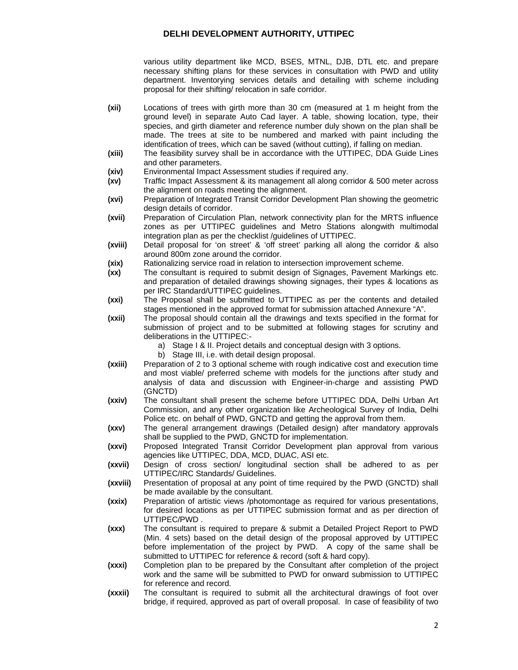### **DELHI DEVELOPMENT AUTHORITY, UTTIPEC**

various utility department like MCD, BSES, MTNL, DJB, DTL etc. and prepare necessary shifting plans for these services in consultation with PWD and utility department. Inventorying services details and detailing with scheme including proposal for their shifting/ relocation in safe corridor.

- **(xii)** Locations of trees with girth more than 30 cm (measured at 1 m height from the ground level) in separate Auto Cad layer. A table, showing location, type, their species, and girth diameter and reference number duly shown on the plan shall be made. The trees at site to be numbered and marked with paint including the identification of trees, which can be saved (without cutting), if falling on median.
- **(xiii)** The feasibility survey shall be in accordance with the UTTIPEC, DDA Guide Lines and other parameters.
- **(xiv)** Environmental Impact Assessment studies if required any.
- **(xv)** Traffic Impact Assessment & its management all along corridor & 500 meter across the alignment on roads meeting the alignment.
- **(xvi)** Preparation of Integrated Transit Corridor Development Plan showing the geometric design details of corridor.
- **(xvii)** Preparation of Circulation Plan, network connectivity plan for the MRTS influence zones as per UTTIPEC guidelines and Metro Stations alongwith multimodal integration plan as per the checklist /guidelines of UTTIPEC.
- **(xviii)** Detail proposal for 'on street' & 'off street' parking all along the corridor & also around 800m zone around the corridor.
- **(xix)** Rationalizing service road in relation to intersection improvement scheme.
- **(xx)** The consultant is required to submit design of Signages, Pavement Markings etc. and preparation of detailed drawings showing signages, their types & locations as per IRC Standard/UTTIPEC guidelines.
- **(xxi)** The Proposal shall be submitted to UTTIPEC as per the contents and detailed stages mentioned in the approved format for submission attached Annexure "A".
- **(xxii)** The proposal should contain all the drawings and texts specified in the format for submission of project and to be submitted at following stages for scrutiny and deliberations in the UTTIPEC:
	- a) Stage I & II. Project details and conceptual design with 3 options.
	- b) Stage III, i.e. with detail design proposal.
- **(xxiii)** Preparation of 2 to 3 optional scheme with rough indicative cost and execution time and most viable/ preferred scheme with models for the junctions after study and analysis of data and discussion with Engineer-in-charge and assisting PWD (GNCTD)
- **(xxiv)** The consultant shall present the scheme before UTTIPEC DDA, Delhi Urban Art Commission, and any other organization like Archeological Survey of India, Delhi Police etc. on behalf of PWD, GNCTD and getting the approval from them.
- **(xxv)** The general arrangement drawings (Detailed design) after mandatory approvals shall be supplied to the PWD, GNCTD for implementation.
- **(xxvi)** Proposed Integrated Transit Corridor Development plan approval from various agencies like UTTIPEC, DDA, MCD, DUAC, ASI etc.
- **(xxvii)** Design of cross section/ longitudinal section shall be adhered to as per UTTIPEC/IRC Standards/ Guidelines.
- **(xxviii)** Presentation of proposal at any point of time required by the PWD (GNCTD) shall be made available by the consultant.
- **(xxix)** Preparation of artistic views /photomontage as required for various presentations, for desired locations as per UTTIPEC submission format and as per direction of UTTIPEC/PWD .
- **(xxx)** The consultant is required to prepare & submit a Detailed Project Report to PWD (Min. 4 sets) based on the detail design of the proposal approved by UTTIPEC before implementation of the project by PWD. A copy of the same shall be submitted to UTTIPEC for reference & record (soft & hard copy).
- **(xxxi)** Completion plan to be prepared by the Consultant after completion of the project work and the same will be submitted to PWD for onward submission to UTTIPEC for reference and record.
- **(xxxii)** The consultant is required to submit all the architectural drawings of foot over bridge, if required, approved as part of overall proposal. In case of feasibility of two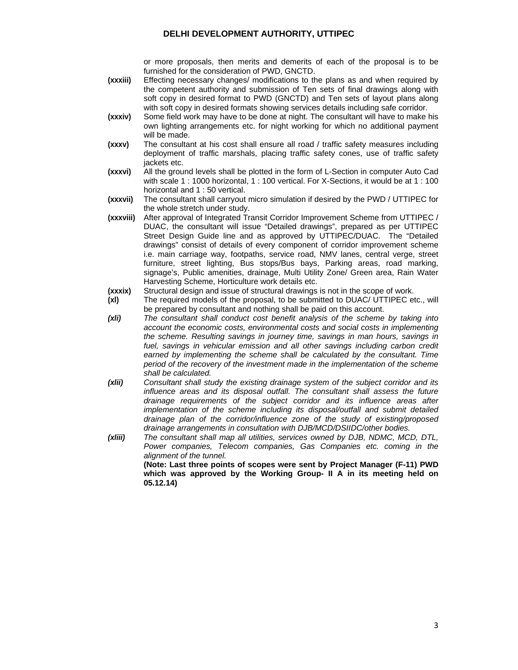### **DELHI DEVELOPMENT AUTHORITY, UTTIPEC**

or more proposals, then merits and demerits of each of the proposal is to be furnished for the consideration of PWD, GNCTD.

- **(xxxiii)** Effecting necessary changes/ modifications to the plans as and when required by the competent authority and submission of Ten sets of final drawings along with soft copy in desired format to PWD (GNCTD) and Ten sets of layout plans along with soft copy in desired formats showing services details including safe corridor.
- **(xxxiv)** Some field work may have to be done at night. The consultant will have to make his own lighting arrangements etc. for night working for which no additional payment will be made.
- **(xxxv)** The consultant at his cost shall ensure all road / traffic safety measures including deployment of traffic marshals, placing traffic safety cones, use of traffic safety jackets etc.
- **(xxxvi)** All the ground levels shall be plotted in the form of L-Section in computer Auto Cad with scale 1 : 1000 horizontal, 1 : 100 vertical. For X-Sections, it would be at 1 : 100 horizontal and 1 : 50 vertical.
- **(xxxvii)** The consultant shall carryout micro simulation if desired by the PWD / UTTIPEC for the whole stretch under study.
- **(xxxviii)** After approval of Integrated Transit Corridor Improvement Scheme from UTTIPEC / DUAC, the consultant will issue "Detailed drawings", prepared as per UTTIPEC Street Design Guide line and as approved by UTTIPEC/DUAC. The "Detailed drawings" consist of details of every component of corridor improvement scheme i.e. main carriage way, footpaths, service road, NMV lanes, central verge, street furniture, street lighting, Bus stops/Bus bays, Parking areas, road marking, signage's, Public amenities, drainage, Multi Utility Zone/ Green area, Rain Water Harvesting Scheme, Horticulture work details etc.
- **(xxxix)** Structural design and issue of structural drawings is not in the scope of work.
- **(xl)** The required models of the proposal, to be submitted to DUAC/ UTTIPEC etc., will be prepared by consultant and nothing shall be paid on this account.
- *(xli) The consultant shall conduct cost benefit analysis of the scheme by taking into account the economic costs, environmental costs and social costs in implementing the scheme. Resulting savings in journey time, savings in man hours, savings in fuel, savings in vehicular emission and all other savings including carbon credit earned by implementing the scheme shall be calculated by the consultant. Time period of the recovery of the investment made in the implementation of the scheme shall be calculated.*
- *(xlii) Consultant shall study the existing drainage system of the subject corridor and its influence areas and its disposal outfall. The consultant shall assess the future drainage requirements of the subject corridor and its influence areas after implementation of the scheme including its disposal/outfall and submit detailed drainage plan of the corridor/influence zone of the study of existing/proposed drainage arrangements in consultation with DJB/MCD/DSIIDC/other bodies.*
- *(xliii) The consultant shall map all utilities, services owned by DJB, NDMC, MCD, DTL, Power companies, Telecom companies, Gas Companies etc. coming in the alignment of the tunnel.*  **(Note: Last three points of scopes were sent by Project Manager (F-11) PWD which was approved by the Working Group- II A in its meeting held on**

**05.12.14)**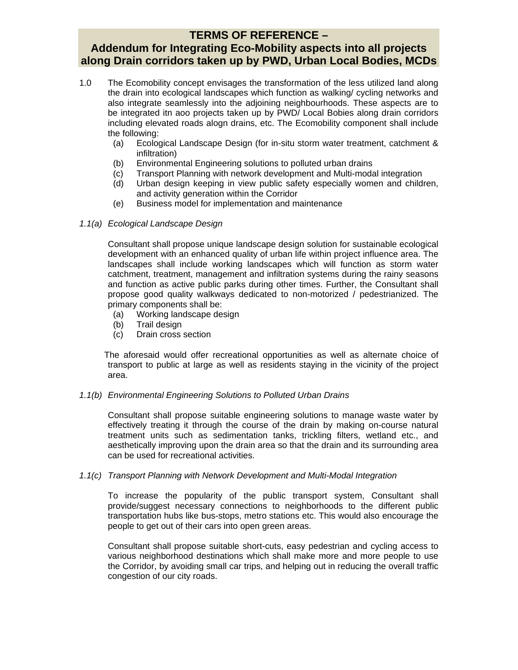## **TERMS OF REFERENCE –**

# **Addendum for Integrating Eco-Mobility aspects into all projects along Drain corridors taken up by PWD, Urban Local Bodies, MCDs**

- 1.0 The Ecomobility concept envisages the transformation of the less utilized land along the drain into ecological landscapes which function as walking/ cycling networks and also integrate seamlessly into the adjoining neighbourhoods. These aspects are to be integrated itn aoo projects taken up by PWD/ Local Bobies along drain corridors including elevated roads alogn drains, etc. The Ecomobility component shall include the following:
	- (a) Ecological Landscape Design (for in-situ storm water treatment, catchment & infiltration)
	- (b) Environmental Engineering solutions to polluted urban drains
	- (c) Transport Planning with network development and Multi-modal integration
	- (d) Urban design keeping in view public safety especially women and children, and activity generation within the Corridor
	- (e) Business model for implementation and maintenance
- *1.1(a) Ecological Landscape Design*

Consultant shall propose unique landscape design solution for sustainable ecological development with an enhanced quality of urban life within project influence area. The landscapes shall include working landscapes which will function as storm water catchment, treatment, management and infiltration systems during the rainy seasons and function as active public parks during other times. Further, the Consultant shall propose good quality walkways dedicated to non-motorized / pedestrianized. The primary components shall be:

- (a) Working landscape design
- (b) Trail design
- (c) Drain cross section

The aforesaid would offer recreational opportunities as well as alternate choice of transport to public at large as well as residents staying in the vicinity of the project area.

### *1.1(b) Environmental Engineering Solutions to Polluted Urban Drains*

Consultant shall propose suitable engineering solutions to manage waste water by effectively treating it through the course of the drain by making on-course natural treatment units such as sedimentation tanks, trickling filters, wetland etc., and aesthetically improving upon the drain area so that the drain and its surrounding area can be used for recreational activities.

### *1.1(c) Transport Planning with Network Development and Multi-Modal Integration*

To increase the popularity of the public transport system, Consultant shall provide/suggest necessary connections to neighborhoods to the different public transportation hubs like bus-stops, metro stations etc. This would also encourage the people to get out of their cars into open green areas.

Consultant shall propose suitable short-cuts, easy pedestrian and cycling access to various neighborhood destinations which shall make more and more people to use the Corridor, by avoiding small car trips, and helping out in reducing the overall traffic congestion of our city roads.